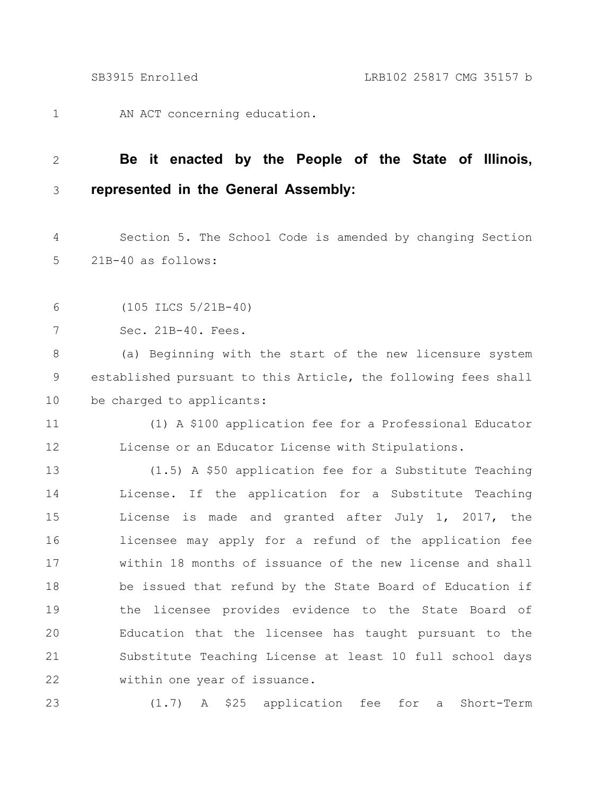AN ACT concerning education. 1

## **Be it enacted by the People of the State of Illinois, represented in the General Assembly:** 2 3

Section 5. The School Code is amended by changing Section 21B-40 as follows: 4 5

(105 ILCS 5/21B-40) 6

Sec. 21B-40. Fees. 7

(a) Beginning with the start of the new licensure system established pursuant to this Article, the following fees shall be charged to applicants: 8 9 10

(1) A \$100 application fee for a Professional Educator License or an Educator License with Stipulations. 11 12

(1.5) A \$50 application fee for a Substitute Teaching License. If the application for a Substitute Teaching License is made and granted after July 1, 2017, the licensee may apply for a refund of the application fee within 18 months of issuance of the new license and shall be issued that refund by the State Board of Education if the licensee provides evidence to the State Board of Education that the licensee has taught pursuant to the Substitute Teaching License at least 10 full school days within one year of issuance. 13 14 15 16 17 18 19 20 21 22

23

(1.7) A \$25 application fee for a Short-Term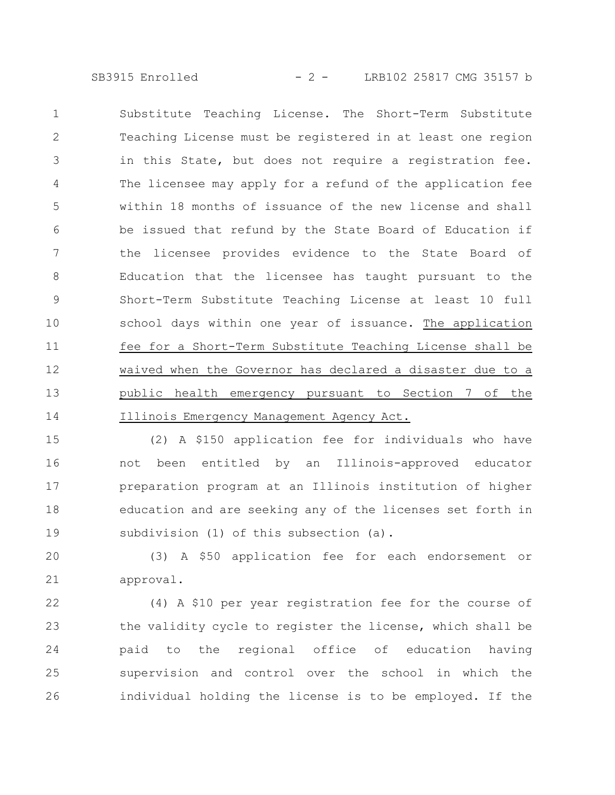SB3915 Enrolled - 2 - LRB102 25817 CMG 35157 b

Substitute Teaching License. The Short-Term Substitute Teaching License must be registered in at least one region in this State, but does not require a registration fee. The licensee may apply for a refund of the application fee within 18 months of issuance of the new license and shall be issued that refund by the State Board of Education if the licensee provides evidence to the State Board of Education that the licensee has taught pursuant to the Short-Term Substitute Teaching License at least 10 full school days within one year of issuance. The application fee for a Short-Term Substitute Teaching License shall be waived when the Governor has declared a disaster due to a public health emergency pursuant to Section 7 of the Illinois Emergency Management Agency Act. 1 2 3 4 5 6 7 8 9 10 11 12 13 14

(2) A \$150 application fee for individuals who have not been entitled by an Illinois-approved educator preparation program at an Illinois institution of higher education and are seeking any of the licenses set forth in subdivision (1) of this subsection (a). 15 16 17 18 19

(3) A \$50 application fee for each endorsement or approval. 20 21

(4) A \$10 per year registration fee for the course of the validity cycle to register the license, which shall be paid to the regional office of education having supervision and control over the school in which the individual holding the license is to be employed. If the 22 23 24 25 26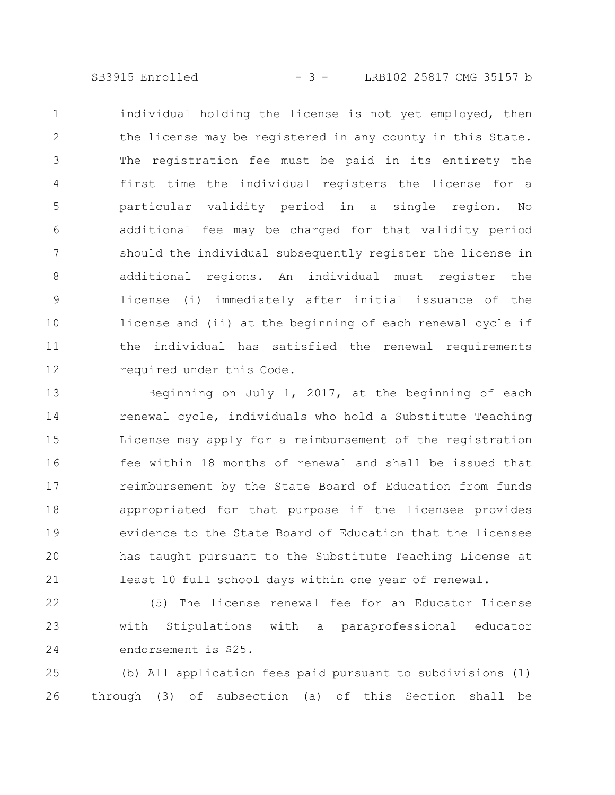SB3915 Enrolled - 3 - LRB102 25817 CMG 35157 b

individual holding the license is not yet employed, then the license may be registered in any county in this State. The registration fee must be paid in its entirety the first time the individual registers the license for a particular validity period in a single region. No additional fee may be charged for that validity period should the individual subsequently register the license in additional regions. An individual must register the license (i) immediately after initial issuance of the license and (ii) at the beginning of each renewal cycle if the individual has satisfied the renewal requirements required under this Code. 1 2 3 4 5 6 7 8 9 10 11 12

Beginning on July  $1, 2017,$  at the beginning of each renewal cycle, individuals who hold a Substitute Teaching License may apply for a reimbursement of the registration fee within 18 months of renewal and shall be issued that reimbursement by the State Board of Education from funds appropriated for that purpose if the licensee provides evidence to the State Board of Education that the licensee has taught pursuant to the Substitute Teaching License at least 10 full school days within one year of renewal. 13 14 15 16 17 18 19 20 21

(5) The license renewal fee for an Educator License with Stipulations with a paraprofessional educator endorsement is \$25. 22 23 24

(b) All application fees paid pursuant to subdivisions (1) through (3) of subsection (a) of this Section shall be 25 26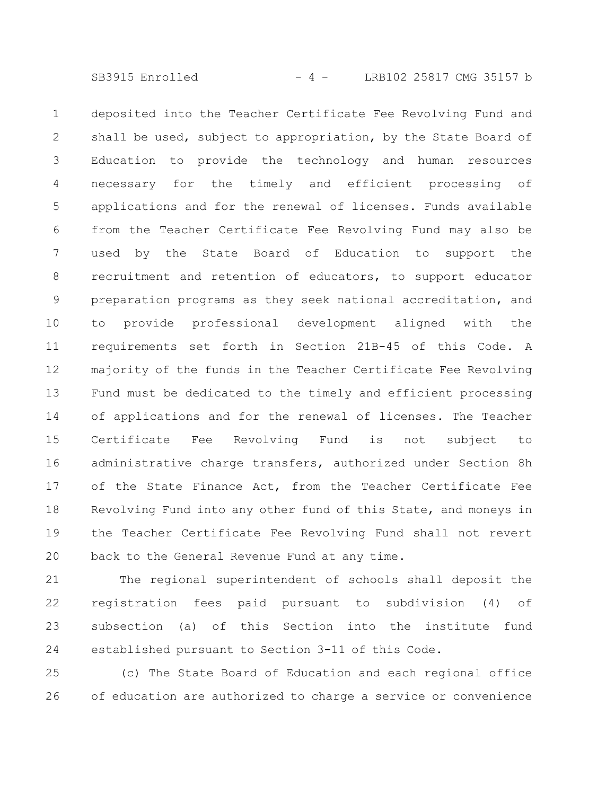SB3915 Enrolled - 4 - LRB102 25817 CMG 35157 b

deposited into the Teacher Certificate Fee Revolving Fund and shall be used, subject to appropriation, by the State Board of Education to provide the technology and human resources necessary for the timely and efficient processing of applications and for the renewal of licenses. Funds available from the Teacher Certificate Fee Revolving Fund may also be used by the State Board of Education to support the recruitment and retention of educators, to support educator preparation programs as they seek national accreditation, and to provide professional development aligned with the requirements set forth in Section 21B-45 of this Code. A majority of the funds in the Teacher Certificate Fee Revolving Fund must be dedicated to the timely and efficient processing of applications and for the renewal of licenses. The Teacher Certificate Fee Revolving Fund is not subject to administrative charge transfers, authorized under Section 8h of the State Finance Act, from the Teacher Certificate Fee Revolving Fund into any other fund of this State, and moneys in the Teacher Certificate Fee Revolving Fund shall not revert back to the General Revenue Fund at any time. 1 2 3 4 5 6 7 8 9 10 11 12 13 14 15 16 17 18 19 20

The regional superintendent of schools shall deposit the registration fees paid pursuant to subdivision (4) of subsection (a) of this Section into the institute fund established pursuant to Section 3-11 of this Code. 21 22 23 24

(c) The State Board of Education and each regional office of education are authorized to charge a service or convenience 25 26